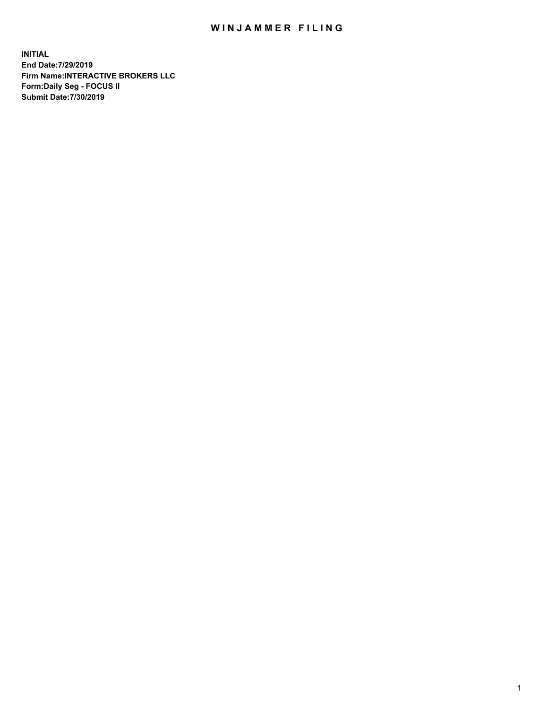## WIN JAMMER FILING

**INITIAL End Date:7/29/2019 Firm Name:INTERACTIVE BROKERS LLC Form:Daily Seg - FOCUS II Submit Date:7/30/2019**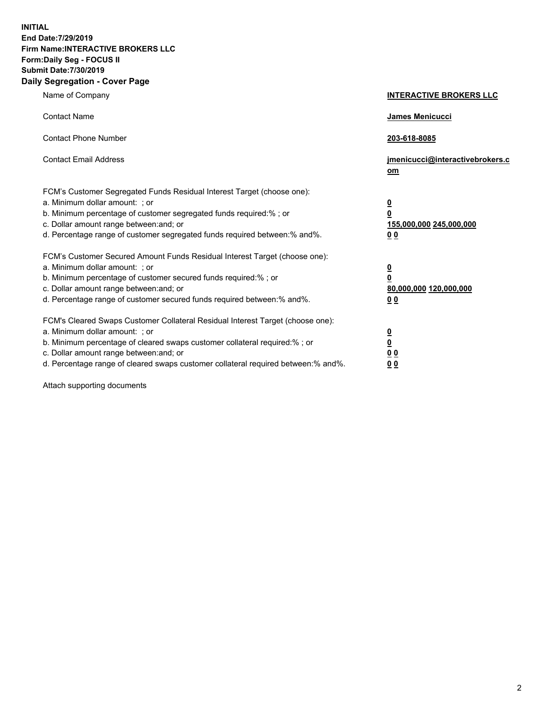**INITIAL End Date:7/29/2019 Firm Name:INTERACTIVE BROKERS LLC Form:Daily Seg - FOCUS II Submit Date:7/30/2019 Daily Segregation - Cover Page**

| Name of Company                                                                                                                                                                                                                                                                                                                | <b>INTERACTIVE BROKERS LLC</b>                                                                  |
|--------------------------------------------------------------------------------------------------------------------------------------------------------------------------------------------------------------------------------------------------------------------------------------------------------------------------------|-------------------------------------------------------------------------------------------------|
| <b>Contact Name</b>                                                                                                                                                                                                                                                                                                            | <b>James Menicucci</b>                                                                          |
| <b>Contact Phone Number</b>                                                                                                                                                                                                                                                                                                    | 203-618-8085                                                                                    |
| <b>Contact Email Address</b>                                                                                                                                                                                                                                                                                                   | jmenicucci@interactivebrokers.c<br>om                                                           |
| FCM's Customer Segregated Funds Residual Interest Target (choose one):<br>a. Minimum dollar amount: ; or<br>b. Minimum percentage of customer segregated funds required:% ; or<br>c. Dollar amount range between: and; or<br>d. Percentage range of customer segregated funds required between: % and %.                       | $\overline{\mathbf{0}}$<br>$\overline{\mathbf{0}}$<br>155,000,000 245,000,000<br>0 <sub>0</sub> |
| FCM's Customer Secured Amount Funds Residual Interest Target (choose one):<br>a. Minimum dollar amount: ; or<br>b. Minimum percentage of customer secured funds required:%; or<br>c. Dollar amount range between: and; or<br>d. Percentage range of customer secured funds required between:% and%.                            | <u>0</u><br>$\overline{\mathbf{0}}$<br>80,000,000 120,000,000<br>0 <sub>0</sub>                 |
| FCM's Cleared Swaps Customer Collateral Residual Interest Target (choose one):<br>a. Minimum dollar amount: ; or<br>b. Minimum percentage of cleared swaps customer collateral required:% ; or<br>c. Dollar amount range between: and; or<br>d. Percentage range of cleared swaps customer collateral required between:% and%. | $\overline{\mathbf{0}}$<br>$\underline{\mathbf{0}}$<br>0 <sub>0</sub><br>0 <sub>0</sub>         |

Attach supporting documents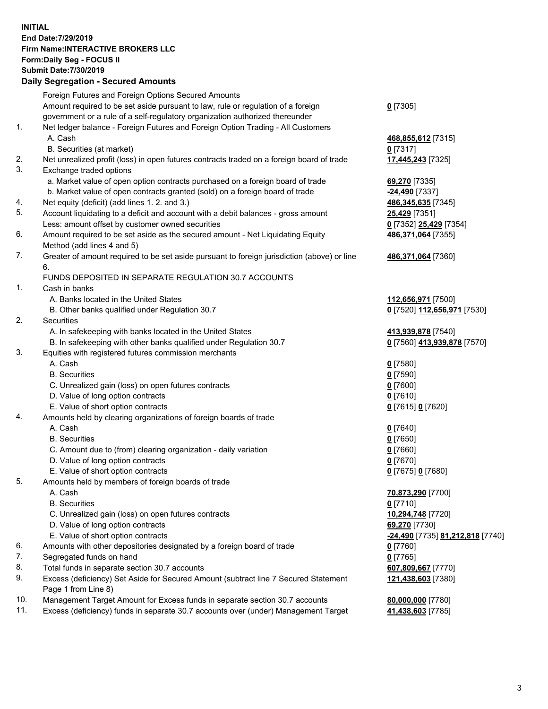## **INITIAL End Date:7/29/2019 Firm Name:INTERACTIVE BROKERS LLC Form:Daily Seg - FOCUS II Submit Date:7/30/2019 Daily Segregation - Secured Amounts**

|                | Daily Ocglegation - Occuled Aniounts                                                                       |                                                      |
|----------------|------------------------------------------------------------------------------------------------------------|------------------------------------------------------|
|                | Foreign Futures and Foreign Options Secured Amounts                                                        |                                                      |
|                | Amount required to be set aside pursuant to law, rule or regulation of a foreign                           | $0$ [7305]                                           |
|                | government or a rule of a self-regulatory organization authorized thereunder                               |                                                      |
| $\mathbf{1}$ . | Net ledger balance - Foreign Futures and Foreign Option Trading - All Customers                            |                                                      |
|                | A. Cash                                                                                                    | 468,855,612 [7315]                                   |
|                | B. Securities (at market)                                                                                  | $0$ [7317]                                           |
| 2.             | Net unrealized profit (loss) in open futures contracts traded on a foreign board of trade                  | 17,445,243 [7325]                                    |
| 3.             | Exchange traded options                                                                                    |                                                      |
|                | a. Market value of open option contracts purchased on a foreign board of trade                             | 69,270 [7335]                                        |
|                | b. Market value of open contracts granted (sold) on a foreign board of trade                               | -24,490 [7337]                                       |
| 4.             | Net equity (deficit) (add lines 1. 2. and 3.)                                                              | 486, 345, 635 [7345]                                 |
| 5.             | Account liquidating to a deficit and account with a debit balances - gross amount                          | <b>25,429</b> [7351]                                 |
|                | Less: amount offset by customer owned securities                                                           | 0 [7352] 25,429 [7354]                               |
| 6.             | Amount required to be set aside as the secured amount - Net Liquidating Equity                             | 486,371,064 [7355]                                   |
|                | Method (add lines 4 and 5)                                                                                 |                                                      |
| 7.             | Greater of amount required to be set aside pursuant to foreign jurisdiction (above) or line                | 486,371,064 [7360]                                   |
|                | 6.                                                                                                         |                                                      |
|                | FUNDS DEPOSITED IN SEPARATE REGULATION 30.7 ACCOUNTS                                                       |                                                      |
| 1.             | Cash in banks                                                                                              |                                                      |
|                | A. Banks located in the United States                                                                      | 112,656,971 [7500]                                   |
|                | B. Other banks qualified under Regulation 30.7                                                             | 0 [7520] 112,656,971 [7530]                          |
| 2.             | Securities                                                                                                 |                                                      |
|                | A. In safekeeping with banks located in the United States                                                  | 413,939,878 [7540]                                   |
|                | B. In safekeeping with other banks qualified under Regulation 30.7                                         | 0 [7560] 413,939,878 [7570]                          |
| 3.             | Equities with registered futures commission merchants                                                      |                                                      |
|                | A. Cash                                                                                                    | $0$ [7580]                                           |
|                | <b>B.</b> Securities                                                                                       | $0$ [7590]                                           |
|                | C. Unrealized gain (loss) on open futures contracts                                                        | $0$ [7600]                                           |
|                | D. Value of long option contracts                                                                          | $0$ [7610]                                           |
|                | E. Value of short option contracts                                                                         | 0 [7615] 0 [7620]                                    |
| 4.             | Amounts held by clearing organizations of foreign boards of trade                                          |                                                      |
|                | A. Cash                                                                                                    | $0$ [7640]                                           |
|                | <b>B.</b> Securities                                                                                       | $0$ [7650]                                           |
|                | C. Amount due to (from) clearing organization - daily variation                                            | $0$ [7660]                                           |
|                | D. Value of long option contracts                                                                          | $0$ [7670]                                           |
|                | E. Value of short option contracts                                                                         | 0 [7675] 0 [7680]                                    |
| 5.             | Amounts held by members of foreign boards of trade                                                         |                                                      |
|                | A. Cash                                                                                                    | 70,873,290 [7700]                                    |
|                | <b>B.</b> Securities                                                                                       | $0$ [7710]                                           |
|                | C. Unrealized gain (loss) on open futures contracts                                                        | 10,294,748 [7720]                                    |
|                | D. Value of long option contracts                                                                          | 69,270 [7730]                                        |
|                | E. Value of short option contracts                                                                         | <mark>-24,490</mark> [7735] <u>81,212,818</u> [7740] |
| 6.             | Amounts with other depositories designated by a foreign board of trade                                     | 0 [7760]                                             |
| 7.             | Segregated funds on hand                                                                                   | $0$ [7765]                                           |
| 8.             | Total funds in separate section 30.7 accounts                                                              | 607,809,667 [7770]                                   |
| 9.             | Excess (deficiency) Set Aside for Secured Amount (subtract line 7 Secured Statement<br>Page 1 from Line 8) | 121,438,603 [7380]                                   |
| 10.            | Management Target Amount for Excess funds in separate section 30.7 accounts                                | 80,000,000 [7780]                                    |
| 11.            | Excess (deficiency) funds in separate 30.7 accounts over (under) Management Target                         | 41,438,603 [7785]                                    |
|                |                                                                                                            |                                                      |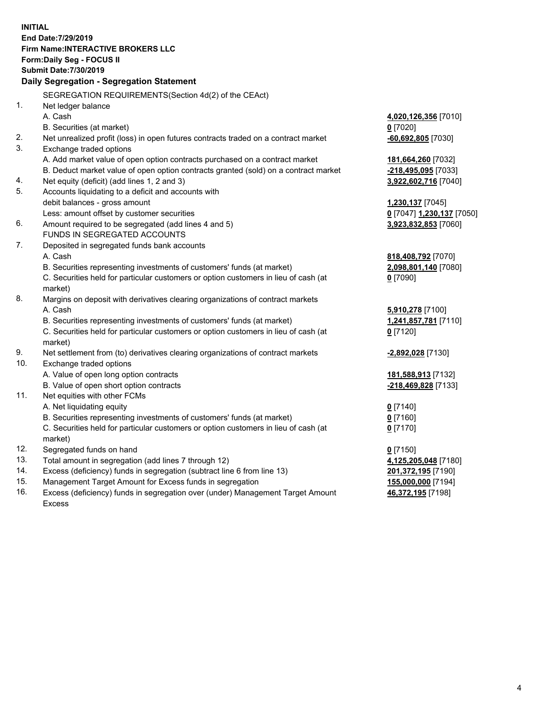**INITIAL End Date:7/29/2019 Firm Name:INTERACTIVE BROKERS LLC Form:Daily Seg - FOCUS II Submit Date:7/30/2019 Daily Segregation - Segregation Statement** SEGREGATION REQUIREMENTS(Section 4d(2) of the CEAct) 1. Net ledger balance A. Cash **4,020,126,356** [7010] B. Securities (at market) **0** [7020] 2. Net unrealized profit (loss) in open futures contracts traded on a contract market **-60,692,805** [7030] 3. Exchange traded options A. Add market value of open option contracts purchased on a contract market **181,664,260** [7032] B. Deduct market value of open option contracts granted (sold) on a contract market **-218,495,095** [7033] 4. Net equity (deficit) (add lines 1, 2 and 3) **3,922,602,716** [7040] 5. Accounts liquidating to a deficit and accounts with debit balances - gross amount **1,230,137** [7045] Less: amount offset by customer securities **0** [7047] **1,230,137** [7050] 6. Amount required to be segregated (add lines 4 and 5) **3,923,832,853** [7060] FUNDS IN SEGREGATED ACCOUNTS 7. Deposited in segregated funds bank accounts A. Cash **818,408,792** [7070] B. Securities representing investments of customers' funds (at market) **2,098,801,140** [7080] C. Securities held for particular customers or option customers in lieu of cash (at market) **0** [7090] 8. Margins on deposit with derivatives clearing organizations of contract markets A. Cash **5,910,278** [7100] B. Securities representing investments of customers' funds (at market) **1,241,857,781** [7110] C. Securities held for particular customers or option customers in lieu of cash (at market) **0** [7120] 9. Net settlement from (to) derivatives clearing organizations of contract markets **-2,892,028** [7130] 10. Exchange traded options A. Value of open long option contracts **181,588,913** [7132] B. Value of open short option contracts **-218,469,828** [7133] 11. Net equities with other FCMs A. Net liquidating equity **0** [7140] B. Securities representing investments of customers' funds (at market) **0** [7160] C. Securities held for particular customers or option customers in lieu of cash (at market) **0** [7170] 12. Segregated funds on hand **0** [7150] 13. Total amount in segregation (add lines 7 through 12) **4,125,205,048** [7180] 14. Excess (deficiency) funds in segregation (subtract line 6 from line 13) **201,372,195** [7190] 15. Management Target Amount for Excess funds in segregation **155,000,000** [7194]

16. Excess (deficiency) funds in segregation over (under) Management Target Amount Excess

**46,372,195** [7198]